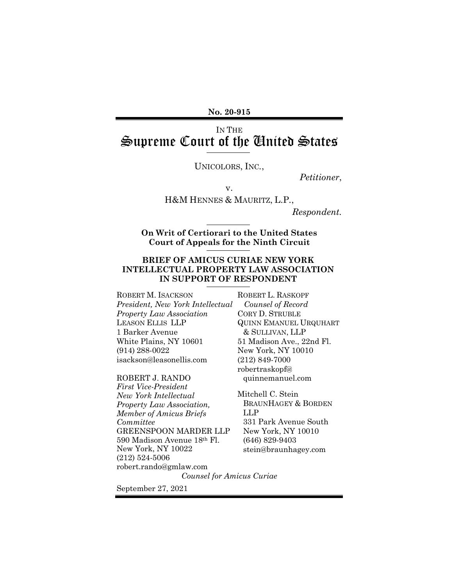**No. 20-915**

## IN THE Supreme Court of the United States

UNICOLORS, INC*.*,

*Petitioner*,

v.

H&M HENNES & MAURITZ, L.P*.*,

*Respondent.*

**On Writ of Certiorari to the United States Court of Appeals for the Ninth Circuit**

#### **BRIEF OF AMICUS CURIAE NEW YORK INTELLECTUAL PROPERTY LAW ASSOCIATION IN SUPPORT OF RESPONDENT**

ROBERT M. ISACKSON *President, New York Intellectual Property Law Association* LEASON ELLIS LLP 1 Barker Avenue White Plains, NY 10601 (914) 288-0022 isackson@leasonellis.com

ROBERT J. RANDO *First Vice-President New York Intellectual Property Law Association, Member of Amicus Briefs Committee* GREENSPOON MARDER LLP 590 Madison Avenue 18th Fl. New York, NY 10022 (212) 524-5006 robert.rando@gmlaw.com

ROBERT L. RASKOPF  *Counsel of Record* CORY D. STRUBLE QUINN EMANUEL URQUHART & SULLIVAN, LLP 51 Madison Ave., 22nd Fl. New York, NY 10010 (212) 849-7000 robertraskopf@ quinnemanuel.com

Mitchell C. Stein BRAUNHAGEY & BORDEN LLP 331 Park Avenue South New York, NY 10010 (646) 829-9403 stein@braunhagey.com

*Counsel for Amicus Curiae*

September 27, 2021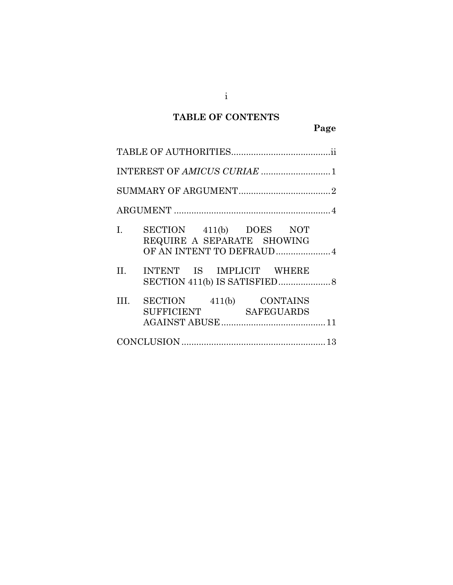# **TABLE OF CONTENTS**

| I.<br>SECTION 411(b) DOES NOT<br>REQUIRE A SEPARATE SHOWING<br>OF AN INTENT TO DEFRAUD4 |
|-----------------------------------------------------------------------------------------|
| INTENT IS IMPLICIT WHERE<br>II. <b>II.</b>                                              |
| SECTION 411(b) CONTAINS<br>III.<br>SUFFICIENT SAFEGUARDS                                |
|                                                                                         |

i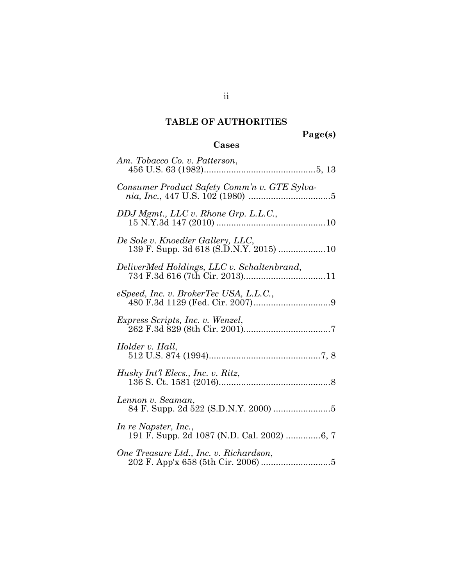## **TABLE OF AUTHORITIES**

**Page(s)**

## **Cases**

| Consumer Product Safety Comm'n v. GTE Sylva-                                |
|-----------------------------------------------------------------------------|
|                                                                             |
| De Sole v. Knoedler Gallery, LLC,<br>139 F. Supp. 3d 618 (S.D.N.Y. 2015) 10 |
| DeliverMed Holdings, LLC v. Schaltenbrand,                                  |
|                                                                             |
| <i>Express Scripts, Inc. v. Wenzel,</i>                                     |
| Holder v. Hall,                                                             |
| Husky Int'l Elecs., Inc. v. Ritz,                                           |
| Lennon v. Seaman,                                                           |
| In re Napster, Inc.,                                                        |
| One Treasure Ltd., Inc. v. Richardson,                                      |

ii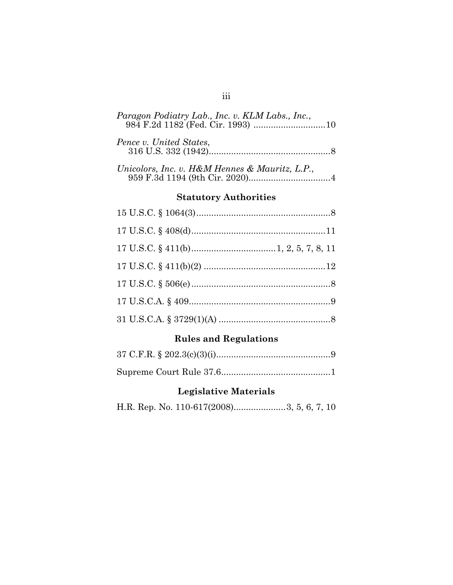| Paragon Podiatry Lab., Inc. v. KLM Labs., Inc., |
|-------------------------------------------------|
| Pence v. United States,                         |
| Unicolors, Inc. v. H&M Hennes & Mauritz, L.P.,  |

### **Statutory Authorities**

## **Rules and Regulations**

## **Legislative Materials**

H.R. Rep. No. 110-617(2008).....................3, 5, 6, 7, 10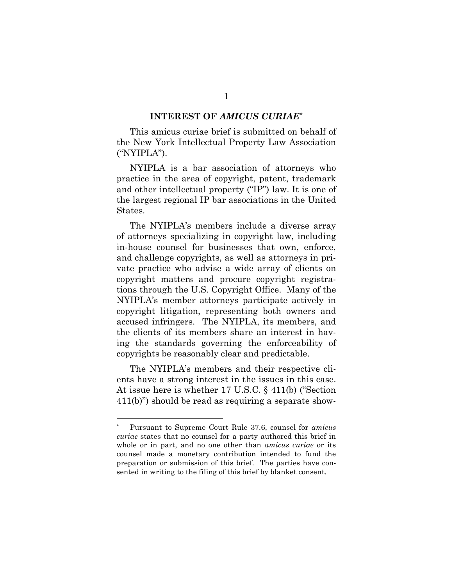#### **INTEREST OF** *AMICUS CURIAE*[\\*](#page-4-0)

This amicus curiae brief is submitted on behalf of the New York Intellectual Property Law Association ("NYIPLA").

NYIPLA is a bar association of attorneys who practice in the area of copyright, patent, trademark and other intellectual property ("IP") law. It is one of the largest regional IP bar associations in the United States.

The NYIPLA's members include a diverse array of attorneys specializing in copyright law, including in-house counsel for businesses that own, enforce, and challenge copyrights, as well as attorneys in private practice who advise a wide array of clients on copyright matters and procure copyright registrations through the U.S. Copyright Office. Many of the NYIPLA's member attorneys participate actively in copyright litigation, representing both owners and accused infringers. The NYIPLA, its members, and the clients of its members share an interest in having the standards governing the enforceability of copyrights be reasonably clear and predictable.

The NYIPLA's members and their respective clients have a strong interest in the issues in this case. At issue here is whether 17 U.S.C. § 411(b) ("Section 411(b)") should be read as requiring a separate show-

<span id="page-4-0"></span><sup>\*</sup> Pursuant to Supreme Court Rule 37.6, counsel for *amicus curiae* states that no counsel for a party authored this brief in whole or in part, and no one other than *amicus curiae* or its counsel made a monetary contribution intended to fund the preparation or submission of this brief. The parties have consented in writing to the filing of this brief by blanket consent.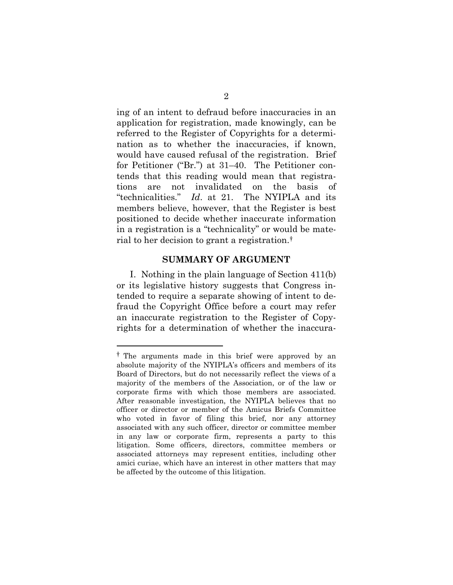ing of an intent to defraud before inaccuracies in an application for registration, made knowingly, can be referred to the Register of Copyrights for a determination as to whether the inaccuracies, if known, would have caused refusal of the registration. Brief for Petitioner ("Br.") at 31–40. The Petitioner contends that this reading would mean that registrations are not invalidated on the basis of "technicalities." *Id*. at 21. The NYIPLA and its members believe, however, that the Register is best positioned to decide whether inaccurate information in a registration is a "technicality" or would be material to her decision to grant a registration.[†](#page-5-0)

#### **SUMMARY OF ARGUMENT**

I. Nothing in the plain language of Section 411(b) or its legislative history suggests that Congress intended to require a separate showing of intent to defraud the Copyright Office before a court may refer an inaccurate registration to the Register of Copyrights for a determination of whether the inaccura-

<span id="page-5-0"></span><sup>†</sup> The arguments made in this brief were approved by an absolute majority of the NYIPLA's officers and members of its Board of Directors, but do not necessarily reflect the views of a majority of the members of the Association, or of the law or corporate firms with which those members are associated. After reasonable investigation, the NYIPLA believes that no officer or director or member of the Amicus Briefs Committee who voted in favor of filing this brief, nor any attorney associated with any such officer, director or committee member in any law or corporate firm, represents a party to this litigation. Some officers, directors, committee members or associated attorneys may represent entities, including other amici curiae, which have an interest in other matters that may be affected by the outcome of this litigation.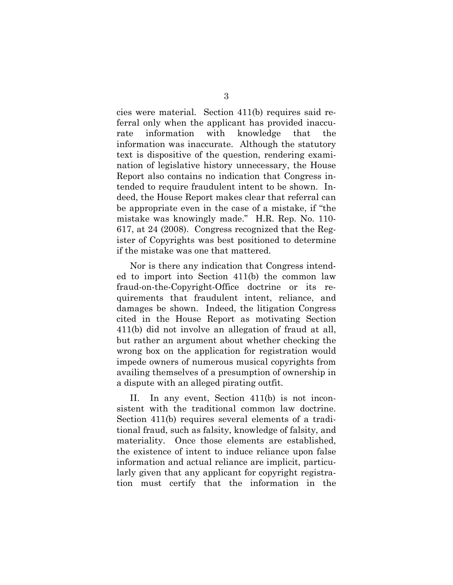cies were material. Section 411(b) requires said referral only when the applicant has provided inaccurate information with knowledge that the information was inaccurate. Although the statutory text is dispositive of the question, rendering examination of legislative history unnecessary, the House Report also contains no indication that Congress intended to require fraudulent intent to be shown. Indeed, the House Report makes clear that referral can be appropriate even in the case of a mistake, if "the mistake was knowingly made." H.R. Rep. No. 110- 617, at 24 (2008). Congress recognized that the Register of Copyrights was best positioned to determine if the mistake was one that mattered.

Nor is there any indication that Congress intended to import into Section 411(b) the common law fraud-on-the-Copyright-Office doctrine or its requirements that fraudulent intent, reliance, and damages be shown. Indeed, the litigation Congress cited in the House Report as motivating Section 411(b) did not involve an allegation of fraud at all, but rather an argument about whether checking the wrong box on the application for registration would impede owners of numerous musical copyrights from availing themselves of a presumption of ownership in a dispute with an alleged pirating outfit.

II. In any event, Section 411(b) is not inconsistent with the traditional common law doctrine. Section 411(b) requires several elements of a traditional fraud, such as falsity, knowledge of falsity, and materiality. Once those elements are established, the existence of intent to induce reliance upon false information and actual reliance are implicit, particularly given that any applicant for copyright registration must certify that the information in the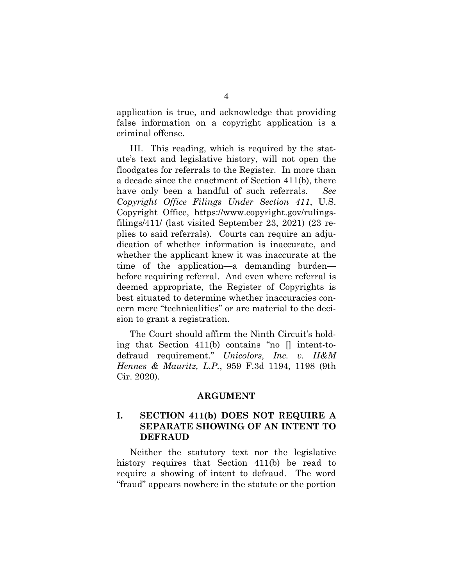application is true, and acknowledge that providing false information on a copyright application is a criminal offense.

III. This reading, which is required by the statute's text and legislative history, will not open the floodgates for referrals to the Register. In more than a decade since the enactment of Section 411(b), there have only been a handful of such referrals. *See Copyright Office Filings Under Section 411*, U.S. Copyright Office, https://www.copyright.gov/rulingsfilings/411/ (last visited September 23, 2021) (23 replies to said referrals). Courts can require an adjudication of whether information is inaccurate, and whether the applicant knew it was inaccurate at the time of the application—a demanding burden before requiring referral. And even where referral is deemed appropriate, the Register of Copyrights is best situated to determine whether inaccuracies concern mere "technicalities" or are material to the decision to grant a registration.

The Court should affirm the Ninth Circuit's holding that Section 411(b) contains "no [] intent-todefraud requirement." *Unicolors, Inc. v. H&M Hennes & Mauritz, L.P.*, 959 F.3d 1194, 1198 (9th Cir. 2020).

#### **ARGUMENT**

### **I. SECTION 411(b) DOES NOT REQUIRE A SEPARATE SHOWING OF AN INTENT TO DEFRAUD**

Neither the statutory text nor the legislative history requires that Section 411(b) be read to require a showing of intent to defraud. The word "fraud" appears nowhere in the statute or the portion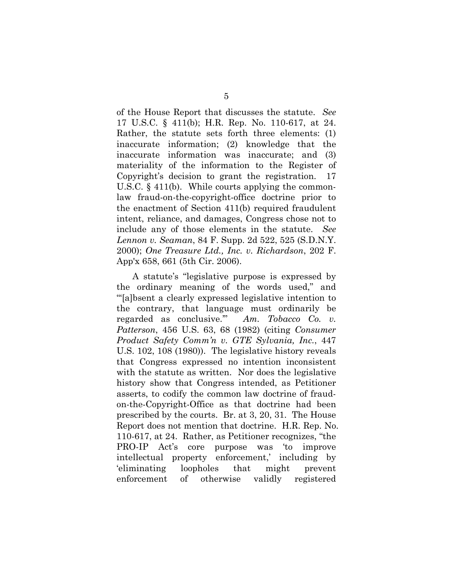of the House Report that discusses the statute. *See*  17 U.S.C. § 411(b); H.R. Rep. No. 110-617, at 24. Rather, the statute sets forth three elements: (1) inaccurate information; (2) knowledge that the inaccurate information was inaccurate; and (3) materiality of the information to the Register of Copyright's decision to grant the registration. 17 U.S.C. § 411(b). While courts applying the commonlaw fraud-on-the-copyright-office doctrine prior to the enactment of Section 411(b) required fraudulent intent, reliance, and damages, Congress chose not to include any of those elements in the statute. *See Lennon v. Seaman*, 84 F. Supp. 2d 522, 525 (S.D.N.Y. 2000); *One Treasure Ltd., Inc. v. Richardson*, 202 F. App'x 658, 661 (5th Cir. 2006).

A statute's "legislative purpose is expressed by the ordinary meaning of the words used," and "'[a]bsent a clearly expressed legislative intention to the contrary, that language must ordinarily be regarded as conclusive.'" *Am. Tobacco Co. v. Patterson*, 456 U.S. 63, 68 (1982) (citing *Consumer Product Safety Comm'n v. GTE Sylvania, Inc.*, 447 U.S. 102, 108 (1980)). The legislative history reveals that Congress expressed no intention inconsistent with the statute as written. Nor does the legislative history show that Congress intended, as Petitioner asserts, to codify the common law doctrine of fraudon-the-Copyright-Office as that doctrine had been prescribed by the courts. Br. at 3, 20, 31. The House Report does not mention that doctrine. H.R. Rep. No. 110-617, at 24. Rather, as Petitioner recognizes, "the PRO-IP Act's core purpose was 'to improve intellectual property enforcement,' including by 'eliminating loopholes that might prevent enforcement of otherwise validly registered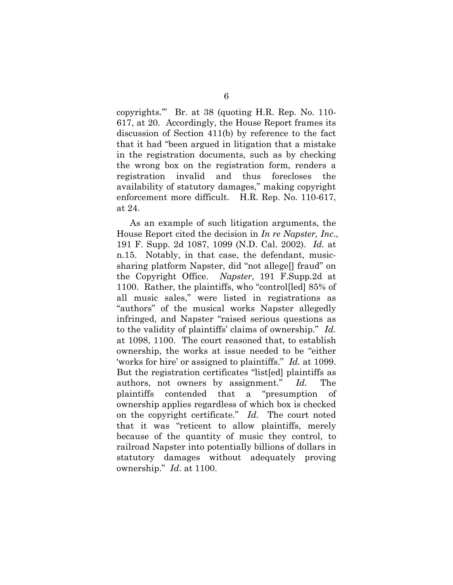copyrights.'" Br. at 38 (quoting H.R. Rep. No. 110- 617, at 20. Accordingly, the House Report frames its discussion of Section 411(b) by reference to the fact that it had "been argued in litigation that a mistake in the registration documents, such as by checking the wrong box on the registration form, renders a registration invalid and thus forecloses the availability of statutory damages," making copyright enforcement more difficult. H.R. Rep. No. 110-617, at 24.

As an example of such litigation arguments, the House Report cited the decision in *In re Napster, Inc*., 191 F. Supp. 2d 1087, 1099 (N.D. Cal. 2002). *Id.* at n.15. Notably, in that case, the defendant, musicsharing platform Napster, did "not allege[] fraud" on the Copyright Office. *Napster*, 191 F.Supp.2d at 1100. Rather, the plaintiffs, who "control[led] 85% of all music sales," were listed in registrations as "authors" of the musical works Napster allegedly infringed, and Napster "raised serious questions as to the validity of plaintiffs' claims of ownership." *Id.* at 1098, 1100.The court reasoned that, to establish ownership, the works at issue needed to be "either 'works for hire' or assigned to plaintiffs." *Id.* at 1099. But the registration certificates "list[ed] plaintiffs as authors, not owners by assignment." *Id.* The plaintiffs contended that a "presumption of ownership applies regardless of which box is checked on the copyright certificate." *Id.* The court noted that it was "reticent to allow plaintiffs, merely because of the quantity of music they control, to railroad Napster into potentially billions of dollars in statutory damages without adequately proving ownership." *Id*. at 1100.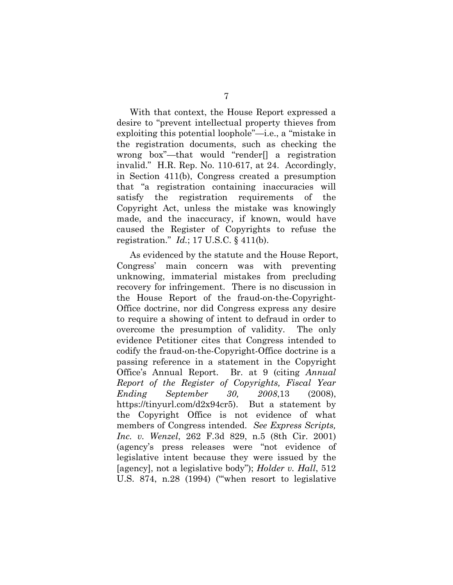With that context, the House Report expressed a desire to "prevent intellectual property thieves from exploiting this potential loophole"—i.e., a "mistake in the registration documents, such as checking the wrong box"—that would "render[] a registration invalid." H.R. Rep. No. 110-617, at 24. Accordingly, in Section 411(b), Congress created a presumption that "a registration containing inaccuracies will satisfy the registration requirements of the Copyright Act, unless the mistake was knowingly made, and the inaccuracy, if known, would have caused the Register of Copyrights to refuse the registration." *Id.*; 17 U.S.C. § 411(b).

As evidenced by the statute and the House Report, Congress' main concern was with preventing unknowing, immaterial mistakes from precluding recovery for infringement. There is no discussion in the House Report of the fraud-on-the-Copyright-Office doctrine, nor did Congress express any desire to require a showing of intent to defraud in order to overcome the presumption of validity. The only evidence Petitioner cites that Congress intended to codify the fraud-on-the-Copyright-Office doctrine is a passing reference in a statement in the Copyright Office's Annual Report. Br. at 9 (citing *Annual Report of the Register of Copyrights, Fiscal Year Ending September 30, 2008*,13 (2008), https://tinyurl.com/d2x94cr5). But a statement by the Copyright Office is not evidence of what members of Congress intended. *See Express Scripts, Inc. v. Wenzel*, 262 F.3d 829, n.5 (8th Cir. 2001) (agency's press releases were "not evidence of legislative intent because they were issued by the [agency], not a legislative body"); *Holder v. Hall*, 512 U.S. 874, n.28 (1994) ("'when resort to legislative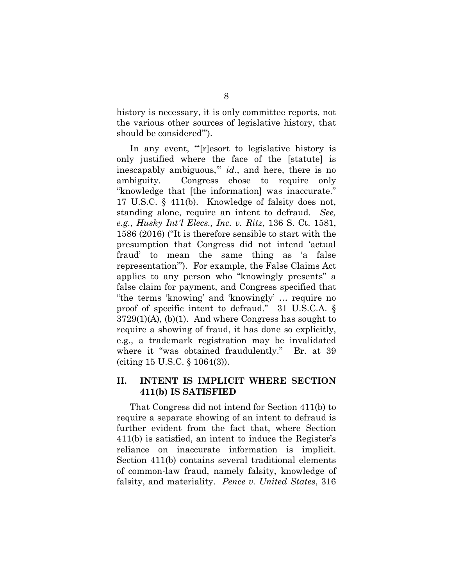history is necessary, it is only committee reports, not the various other sources of legislative history, that should be considered'").

In any event, "'[r]esort to legislative history is only justified where the face of the [statute] is inescapably ambiguous,'" *id.*, and here, there is no ambiguity. Congress chose to require only "knowledge that [the information] was inaccurate." 17 U.S.C. § 411(b). Knowledge of falsity does not, standing alone, require an intent to defraud. *See, e.g.*, *Husky Int'l Elecs., Inc. v. Ritz*, 136 S. Ct. 1581, 1586 (2016) ("It is therefore sensible to start with the presumption that Congress did not intend 'actual fraud' to mean the same thing as 'a false representation'"). For example, the False Claims Act applies to any person who "knowingly presents" a false claim for payment, and Congress specified that "the terms 'knowing' and 'knowingly' … require no proof of specific intent to defraud." 31 U.S.C.A. §  $3729(1)(A)$ , (b)(1). And where Congress has sought to require a showing of fraud, it has done so explicitly, e.g., a trademark registration may be invalidated where it "was obtained fraudulently." Br. at 39 (citing 15 U.S.C. § 1064(3)).

### **II. INTENT IS IMPLICIT WHERE SECTION 411(b) IS SATISFIED**

That Congress did not intend for Section 411(b) to require a separate showing of an intent to defraud is further evident from the fact that, where Section 411(b) is satisfied, an intent to induce the Register's reliance on inaccurate information is implicit. Section 411(b) contains several traditional elements of common-law fraud, namely falsity, knowledge of falsity, and materiality. *Pence v. United States*, 316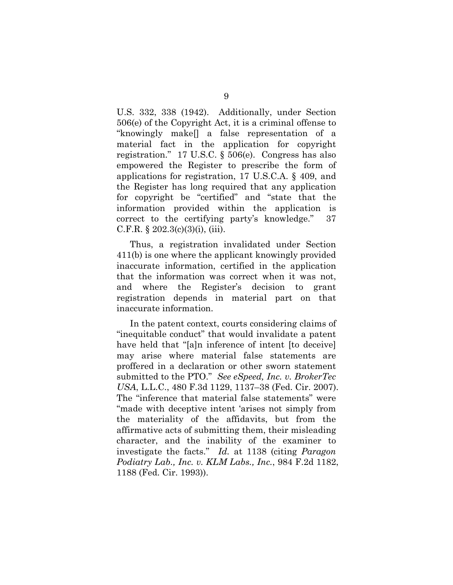U.S. 332, 338 (1942). Additionally, under Section 506(e) of the Copyright Act, it is a criminal offense to "knowingly make[] a false representation of a material fact in the application for copyright registration." 17 U.S.C. § 506(e). Congress has also empowered the Register to prescribe the form of applications for registration, 17 U.S.C.A. § 409, and the Register has long required that any application for copyright be "certified" and "state that the information provided within the application is correct to the certifying party's knowledge." 37 C.F.R.  $\S 202.3(c)(3)(i)$ , (iii).

Thus, a registration invalidated under Section 411(b) is one where the applicant knowingly provided inaccurate information, certified in the application that the information was correct when it was not, and where the Register's decision to grant registration depends in material part on that inaccurate information.

In the patent context, courts considering claims of "inequitable conduct" that would invalidate a patent have held that "[a]n inference of intent [to deceive] may arise where material false statements are proffered in a declaration or other sworn statement submitted to the PTO." *See eSpeed, Inc. v. BrokerTec USA*, L.L.C., 480 F.3d 1129, 1137–38 (Fed. Cir. 2007). The "inference that material false statements" were "made with deceptive intent 'arises not simply from the materiality of the affidavits, but from the affirmative acts of submitting them, their misleading character, and the inability of the examiner to investigate the facts." *Id.* at 1138 (citing *Paragon Podiatry Lab., Inc. v. KLM Labs., Inc.*, 984 F.2d 1182, 1188 (Fed. Cir. 1993)).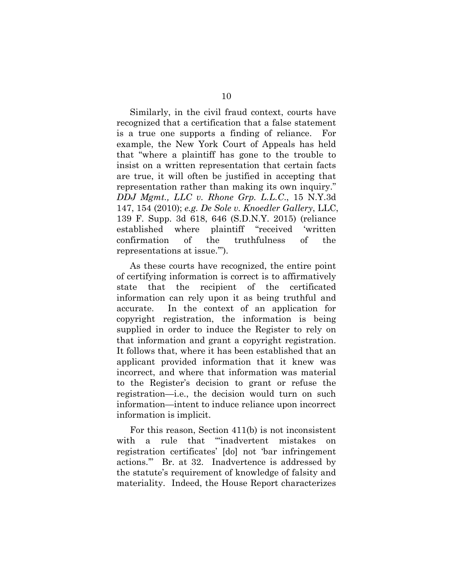Similarly, in the civil fraud context, courts have recognized that a certification that a false statement is a true one supports a finding of reliance. For example, the New York Court of Appeals has held that "where a plaintiff has gone to the trouble to insist on a written representation that certain facts are true, it will often be justified in accepting that representation rather than making its own inquiry." *DDJ Mgmt., LLC v. Rhone Grp. L.L.C*., 15 N.Y.3d 147, 154 (2010); *e.g. De Sole v. Knoedler Gallery*, LLC, 139 F. Supp. 3d 618, 646 (S.D.N.Y. 2015) (reliance established where plaintiff "received 'written confirmation of the truthfulness of the representations at issue.'").

As these courts have recognized, the entire point of certifying information is correct is to affirmatively state that the recipient of the certificated information can rely upon it as being truthful and accurate. In the context of an application for copyright registration, the information is being supplied in order to induce the Register to rely on that information and grant a copyright registration. It follows that, where it has been established that an applicant provided information that it knew was incorrect, and where that information was material to the Register's decision to grant or refuse the registration—i.e., the decision would turn on such information—intent to induce reliance upon incorrect information is implicit.

For this reason, Section 411(b) is not inconsistent with a rule that "inadvertent mistakes on registration certificates' [do] not 'bar infringement actions.'" Br. at 32. Inadvertence is addressed by the statute's requirement of knowledge of falsity and materiality. Indeed, the House Report characterizes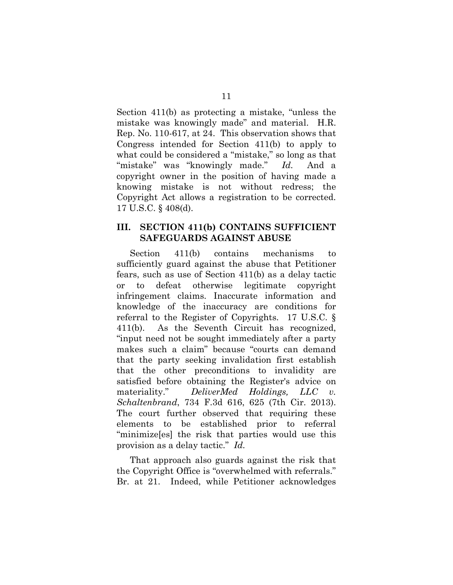Section 411(b) as protecting a mistake, "unless the mistake was knowingly made" and material. H.R. Rep. No. 110-617, at 24. This observation shows that Congress intended for Section 411(b) to apply to what could be considered a "mistake," so long as that "mistake" was "knowingly made." *Id.* And a copyright owner in the position of having made a knowing mistake is not without redress; the Copyright Act allows a registration to be corrected. 17 U.S.C. § 408(d).

### **III. SECTION 411(b) CONTAINS SUFFICIENT SAFEGUARDS AGAINST ABUSE**

Section 411(b) contains mechanisms to sufficiently guard against the abuse that Petitioner fears, such as use of Section 411(b) as a delay tactic or to defeat otherwise legitimate copyright infringement claims. Inaccurate information and knowledge of the inaccuracy are conditions for referral to the Register of Copyrights. 17 U.S.C. § 411(b). As the Seventh Circuit has recognized, "input need not be sought immediately after a party makes such a claim" because "courts can demand that the party seeking invalidation first establish that the other preconditions to invalidity are satisfied before obtaining the Register's advice on materiality." *DeliverMed Holdings, LLC v. Schaltenbrand*, 734 F.3d 616, 625 (7th Cir. 2013). The court further observed that requiring these elements to be established prior to referral "minimize[es] the risk that parties would use this provision as a delay tactic." *Id.*

That approach also guards against the risk that the Copyright Office is "overwhelmed with referrals." Br. at 21. Indeed, while Petitioner acknowledges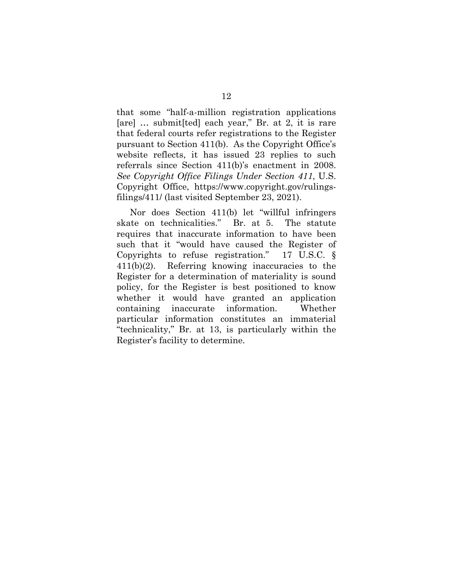that some "half-a-million registration applications [are] … submit[ted] each year," Br. at 2, it is rare that federal courts refer registrations to the Register pursuant to Section 411(b). As the Copyright Office's website reflects, it has issued 23 replies to such referrals since Section 411(b)'s enactment in 2008. *See Copyright Office Filings Under Section 411*, U.S. Copyright Office, https://www.copyright.gov/rulingsfilings/411/ (last visited September 23, 2021).

Nor does Section 411(b) let "willful infringers skate on technicalities." Br. at 5. The statute requires that inaccurate information to have been such that it "would have caused the Register of Copyrights to refuse registration." 17 U.S.C. § 411(b)(2). Referring knowing inaccuracies to the Register for a determination of materiality is sound policy, for the Register is best positioned to know whether it would have granted an application containing inaccurate information. Whether particular information constitutes an immaterial "technicality," Br. at 13, is particularly within the Register's facility to determine.